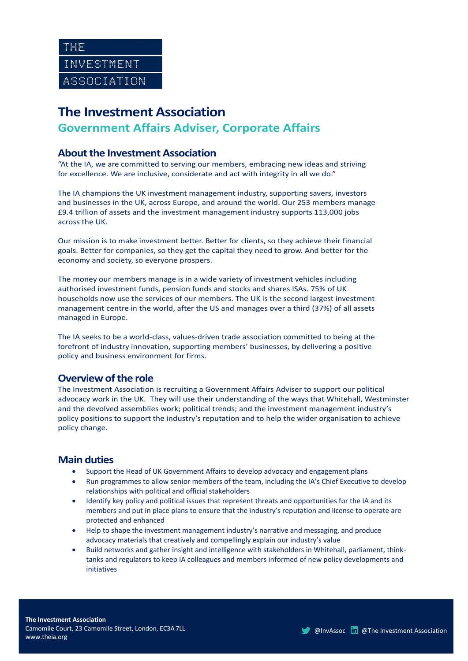# **The Investment Association**

# **Government Affairs Adviser, Corporate Affairs**

#### **About the Investment Association**

"At the IA, we are committed to serving our members, embracing new ideas and striving for excellence. We are inclusive, considerate and act with integrity in all we do."

The IA champions the UK investment management industry, supporting savers, investors and businesses in the UK, across Europe, and around the world. Our 253 members manage £9.4 trillion of assets and the investment management industry supports 113,000 jobs across the UK.

Our mission is to make investment better. Better for clients, so they achieve their financial goals. Better for companies, so they get the capital they need to grow. And better for the economy and society, so everyone prospers.

The money our members manage is in a wide variety of investment vehicles including authorised investment funds, pension funds and stocks and shares ISAs. 75% of UK households now use the services of our members. The UK is the second largest investment management centre in the world, after the US and manages over a third (37%) of all assets managed in Europe.

The IA seeks to be a world-class, values-driven trade association committed to being at the forefront of industry innovation, supporting members' businesses, by delivering a positive policy and business environment for firms.

### **Overview of the role**

The Investment Association is recruiting a Government Affairs Adviser to support our political advocacy work in the UK. They will use their understanding of the ways that Whitehall, Westminster and the devolved assemblies work; political trends; and the investment management industry's policy positions to support the industry's reputation and to help the wider organisation to achieve policy change.

#### **Main duties**

- Support the Head of UK Government Affairs to develop advocacy and engagement plans
- Run programmes to allow senior members of the team, including the IA's Chief Executive to develop relationships with political and official stakeholders
- Identify key policy and political issues that represent threats and opportunities for the IA and its members and put in place plans to ensure that the industry's reputation and license to operate are protected and enhanced
- Help to shape the investment management industry's narrative and messaging, and produce advocacy materials that creatively and compellingly explain our industry's value
- Build networks and gather insight and intelligence with stakeholders in Whitehall, parliament, thinktanks and regulators to keep IA colleagues and members informed of new policy developments and initiatives